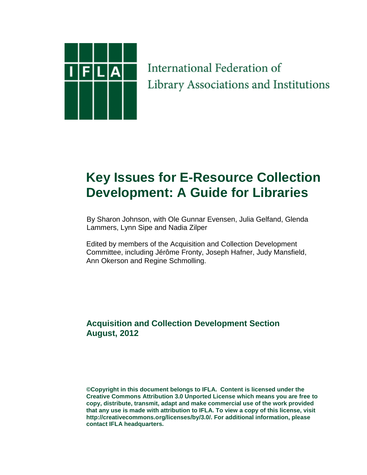

# International Federation of Library Associations and Institutions

# **Key Issues for E-Resource Collection Development: A Guide for Libraries**

 By Sharon Johnson, with Ole Gunnar Evensen, Julia Gelfand, Glenda Lammers, Lynn Sipe and Nadia Zilper

Edited by members of the Acquisition and Collection Development Committee, including Jérôme Fronty, Joseph Hafner, Judy Mansfield, Ann Okerson and Regine Schmolling.

## **Acquisition and Collection Development Section August, 2012**

**©Copyright in this document belongs to IFLA. Content is licensed under the Creative Commons Attribution 3.0 Unported License which means you are free to copy, distribute, transmit, adapt and make commercial use of the work provided that any use is made with attribution to IFLA. To view a copy of this license, visit http://creativecommons.org/licenses/by/3.0/. For additional information, please contact IFLA headquarters.**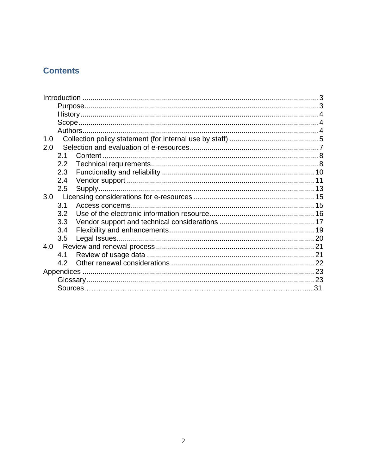## **Contents**

| 1.0 |     |     |  |
|-----|-----|-----|--|
| 2.0 |     |     |  |
|     | 2.1 |     |  |
|     | 2.2 |     |  |
|     | 2.3 |     |  |
|     | 2.4 |     |  |
|     | 2.5 |     |  |
| 3.0 |     |     |  |
|     | 3.1 |     |  |
|     | 3.2 |     |  |
|     | 3.3 |     |  |
|     | 3.4 |     |  |
|     | 3.5 |     |  |
| 4.0 |     |     |  |
|     | 4.1 |     |  |
|     | 4.2 |     |  |
|     |     |     |  |
|     |     |     |  |
|     |     | .31 |  |
|     |     |     |  |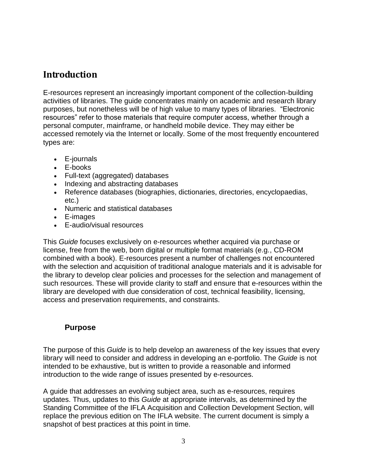## <span id="page-2-0"></span>**Introduction**

E-resources represent an increasingly important component of the collection-building activities of libraries. The guide concentrates mainly on academic and research library purposes, but nonetheless will be of high value to many types of libraries. "Electronic resources" refer to those materials that require computer access, whether through a personal computer, mainframe, or handheld mobile device. They may either be accessed remotely via the Internet or locally. Some of the most frequently encountered types are:

- E-journals
- E-books
- Full-text (aggregated) databases
- Indexing and abstracting databases
- Reference databases (biographies, dictionaries, directories, encyclopaedias, etc.)
- Numeric and statistical databases
- E-images
- E-audio/visual resources

This *Guide* focuses exclusively on e-resources whether acquired via purchase or license, free from the web, born digital or multiple format materials (e.g., CD-ROM combined with a book). E-resources present a number of challenges not encountered with the selection and acquisition of traditional analogue materials and it is advisable for the library to develop clear policies and processes for the selection and management of such resources. These will provide clarity to staff and ensure that e-resources within the library are developed with due consideration of cost, technical feasibility, licensing, access and preservation requirements, and constraints.

#### <span id="page-2-1"></span>**Purpose**

The purpose of this *Guide* is to help develop an awareness of the key issues that every library will need to consider and address in developing an e-portfolio. The *Guide* is not intended to be exhaustive, but is written to provide a reasonable and informed introduction to the wide range of issues presented by e-resources.

A guide that addresses an evolving subject area, such as e-resources, requires updates. Thus, updates to this *Guide* at appropriate intervals, as determined by the Standing Committee of the IFLA Acquisition and Collection Development Section, will replace the previous edition on The IFLA website. The current document is simply a snapshot of best practices at this point in time.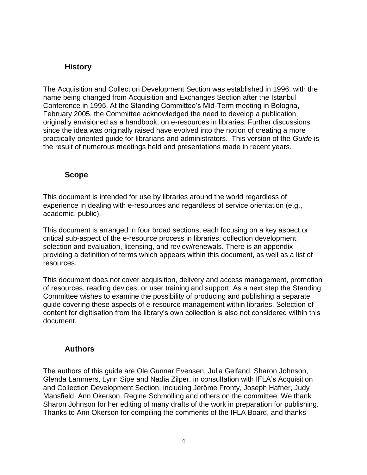#### <span id="page-3-0"></span>**History**

The Acquisition and Collection Development Section was established in 1996, with the name being changed from Acquisition and Exchanges Section after the Istanbul Conference in 1995. At the Standing Committee"s Mid-Term meeting in Bologna, February 2005, the Committee acknowledged the need to develop a publication, originally envisioned as a handbook, on e-resources in libraries. Further discussions since the idea was originally raised have evolved into the notion of creating a more practically-oriented guide for librarians and administrators. This version of the *Guide* is the result of numerous meetings held and presentations made in recent years.

#### <span id="page-3-1"></span>**Scope**

This document is intended for use by libraries around the world regardless of experience in dealing with e-resources and regardless of service orientation (e.g., academic, public).

This document is arranged in four broad sections, each focusing on a key aspect or critical sub-aspect of the e-resource process in libraries: collection development, selection and evaluation, licensing, and review/renewals. There is an appendix providing a definition of terms which appears within this document, as well as a list of resources.

This document does not cover acquisition, delivery and access management, promotion of resources, reading devices, or user training and support. As a next step the Standing Committee wishes to examine the possibility of producing and publishing a separate guide covering these aspects of e-resource management within libraries. Selection of content for digitisation from the library"s own collection is also not considered within this document.

#### <span id="page-3-2"></span>**Authors**

The authors of this guide are Ole Gunnar Evensen, Julia Gelfand, Sharon Johnson, Glenda Lammers, Lynn Sipe and Nadia Zilper, in consultation with IFLA"s Acquisition and Collection Development Section, including Jérôme Fronty, Joseph Hafner, Judy Mansfield, Ann Okerson, Regine Schmolling and others on the committee. We thank Sharon Johnson for her editing of many drafts of the work in preparation for publishing. Thanks to Ann Okerson for compiling the comments of the IFLA Board, and thanks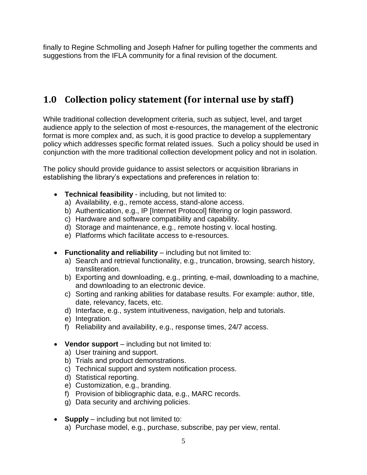<span id="page-4-0"></span>finally to Regine Schmolling and Joseph Hafner for pulling together the comments and suggestions from the IFLA community for a final revision of the document.

# **1.0 Collection policy statement (for internal use by staff)**

While traditional collection development criteria, such as subject, level, and target audience apply to the selection of most e-resources, the management of the electronic format is more complex and, as such, it is good practice to develop a supplementary policy which addresses specific format related issues. Such a policy should be used in conjunction with the more traditional collection development policy and not in isolation.

The policy should provide guidance to assist selectors or acquisition librarians in establishing the library"s expectations and preferences in relation to:

- **Technical feasibility** including, but not limited to:
	- a) Availability, e.g., remote access, stand-alone access.
	- b) Authentication, e.g., IP [Internet Protocol] filtering or login password.
	- c) Hardware and software compatibility and capability.
	- d) Storage and maintenance, e.g., remote hosting v. local hosting.
	- e) Platforms which facilitate access to e-resources.
- **Functionality and reliability** including but not limited to:
	- a) Search and retrieval functionality, e.g., truncation, browsing, search history, transliteration.
	- b) Exporting and downloading, e.g., printing, e-mail, downloading to a machine, and downloading to an electronic device.
	- c) Sorting and ranking abilities for database results. For example: author, title, date, relevancy, facets, etc.
	- d) Interface, e.g., system intuitiveness, navigation, help and tutorials.
	- e) Integration.
	- f) Reliability and availability, e.g., response times, 24/7 access.
- **Vendor support** including but not limited to:
	- a) User training and support.
	- b) Trials and product demonstrations.
	- c) Technical support and system notification process.
	- d) Statistical reporting.
	- e) Customization, e.g., branding.
	- f) Provision of bibliographic data, e.g., MARC records.
	- g) Data security and archiving policies.
- **Supply** including but not limited to:
	- a) Purchase model, e.g., purchase, subscribe, pay per view, rental.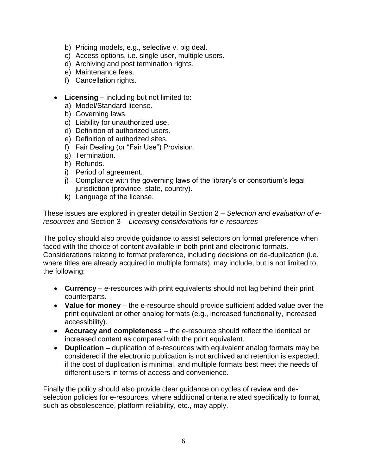- b) Pricing models, e.g., selective v. big deal.
- c) Access options, i.e. single user, multiple users.
- d) Archiving and post termination rights.
- e) Maintenance fees.
- f) Cancellation rights.
- **Licensing** including but not limited to:
	- a) Model/Standard license.
	- b) Governing laws.
	- c) Liability for unauthorized use.
	- d) Definition of authorized users.
	- e) Definition of authorized sites.
	- f) Fair Dealing (or "Fair Use") Provision.
	- g) Termination.
	- h) Refunds.
	- i) Period of agreement.
	- j) Compliance with the governing laws of the library's or consortium's legal jurisdiction (province, state, country).
	- k) Language of the license.

These issues are explored in greater detail in Section 2 – *Selection and evaluation of eresources* and Section 3 – *Licensing considerations for e-resources*

The policy should also provide guidance to assist selectors on format preference when faced with the choice of content available in both print and electronic formats. Considerations relating to format preference, including decisions on de-duplication (i.e. where titles are already acquired in multiple formats), may include, but is not limited to, the following:

- **Currency** e-resources with print equivalents should not lag behind their print counterparts.
- **Value for money** the e-resource should provide sufficient added value over the print equivalent or other analog formats (e.g., increased functionality, increased accessibility).
- **Accuracy and completeness** the e-resource should reflect the identical or increased content as compared with the print equivalent.
- **Duplication** duplication of e-resources with equivalent analog formats may be considered if the electronic publication is not archived and retention is expected; if the cost of duplication is minimal, and multiple formats best meet the needs of different users in terms of access and convenience.

Finally the policy should also provide clear guidance on cycles of review and deselection policies for e-resources, where additional criteria related specifically to format, such as obsolescence, platform reliability, etc., may apply.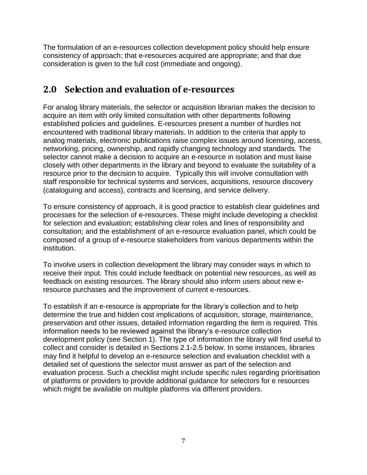The formulation of an e-resources collection development policy should help ensure consistency of approach; that e-resources acquired are appropriate; and that due consideration is given to the full cost (immediate and ongoing).

# <span id="page-6-0"></span>**2.0 Selection and evaluation of e-resources**

For analog library materials, the selector or acquisition librarian makes the decision to acquire an item with only limited consultation with other departments following established policies and guidelines. E-resources present a number of hurdles not encountered with traditional library materials. In addition to the criteria that apply to analog materials, electronic publications raise complex issues around licensing, access, networking, pricing, ownership, and rapidly changing technology and standards. The selector cannot make a decision to acquire an e-resource in isolation and must liaise closely with other departments in the library and beyond to evaluate the suitability of a resource prior to the decision to acquire. Typically this will involve consultation with staff responsible for technical systems and services, acquisitions, resource discovery (cataloguing and access), contracts and licensing, and service delivery.

To ensure consistency of approach, it is good practice to establish clear guidelines and processes for the selection of e-resources. These might include developing a checklist for selection and evaluation; establishing clear roles and lines of responsibility and consultation; and the establishment of an e-resource evaluation panel, which could be composed of a group of e-resource stakeholders from various departments within the institution.

To involve users in collection development the library may consider ways in which to receive their input. This could include feedback on potential new resources, as well as feedback on existing resources. The library should also inform users about new eresource purchases and the improvement of current e-resources.

To establish if an e-resource is appropriate for the library"s collection and to help determine the true and hidden cost implications of acquisition, storage, maintenance, preservation and other issues, detailed information regarding the item is required. This information needs to be reviewed against the library"s e-resource collection development policy (see Section 1). The type of information the library will find useful to collect and consider is detailed in Sections 2.1-2.5 below. In some instances, libraries may find it helpful to develop an e-resource selection and evaluation checklist with a detailed set of questions the selector must answer as part of the selection and evaluation process. Such a checklist might include specific rules regarding prioritisation of platforms or providers to provide additional guidance for selectors for e resources which might be available on multiple platforms via different providers.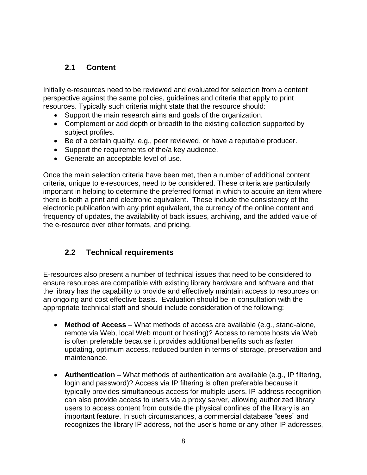## <span id="page-7-0"></span>**2.1 Content**

Initially e-resources need to be reviewed and evaluated for selection from a content perspective against the same policies, guidelines and criteria that apply to print resources. Typically such criteria might state that the resource should:

- Support the main research aims and goals of the organization.
- Complement or add depth or breadth to the existing collection supported by subject profiles.
- Be of a certain quality, e.g., peer reviewed, or have a reputable producer.
- Support the requirements of the/a key audience.
- Generate an acceptable level of use.

Once the main selection criteria have been met, then a number of additional content criteria, unique to e-resources, need to be considered. These criteria are particularly important in helping to determine the preferred format in which to acquire an item where there is both a print and electronic equivalent. These include the consistency of the electronic publication with any print equivalent, the currency of the online content and frequency of updates, the availability of back issues, archiving, and the added value of the e-resource over other formats, and pricing.

#### <span id="page-7-1"></span>**2.2 Technical requirements**

E-resources also present a number of technical issues that need to be considered to ensure resources are compatible with existing library hardware and software and that the library has the capability to provide and effectively maintain access to resources on an ongoing and cost effective basis. Evaluation should be in consultation with the appropriate technical staff and should include consideration of the following:

- **Method of Access** What methods of access are available (e.g., stand-alone, remote via Web, local Web mount or hosting)? Access to remote hosts via Web is often preferable because it provides additional benefits such as faster updating, optimum access, reduced burden in terms of storage, preservation and maintenance.
- **Authentication** What methods of authentication are available (e.g., IP filtering, login and password)? Access via IP filtering is often preferable because it typically provides simultaneous access for multiple users. IP-address recognition can also provide access to users via a proxy server, allowing authorized library users to access content from outside the physical confines of the library is an important feature. In such circumstances, a commercial database "sees" and recognizes the library IP address, not the user"s home or any other IP addresses,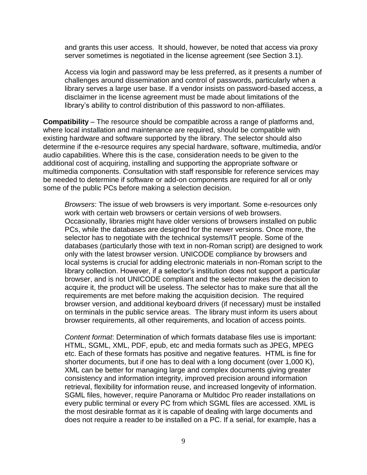and grants this user access. It should, however, be noted that access via proxy server sometimes is negotiated in the license agreement (see Section 3.1).

Access via login and password may be less preferred, as it presents a number of challenges around dissemination and control of passwords, particularly when a library serves a large user base. If a vendor insists on password-based access, a disclaimer in the license agreement must be made about limitations of the library"s ability to control distribution of this password to non-affiliates.

**Compatibility** – The resource should be compatible across a range of platforms and, where local installation and maintenance are required, should be compatible with existing hardware and software supported by the library. The selector should also determine if the e-resource requires any special hardware, software, multimedia, and/or audio capabilities. Where this is the case, consideration needs to be given to the additional cost of acquiring, installing and supporting the appropriate software or multimedia components. Consultation with staff responsible for reference services may be needed to determine if software or add-on components are required for all or only some of the public PCs before making a selection decision.

*Browsers*: The issue of web browsers is very important. Some e-resources only work with certain web browsers or certain versions of web browsers. Occasionally, libraries might have older versions of browsers installed on public PCs, while the databases are designed for the newer versions. Once more, the selector has to negotiate with the technical systems/IT people. Some of the databases (particularly those with text in non-Roman script) are designed to work only with the latest browser version. UNICODE compliance by browsers and local systems is crucial for adding electronic materials in non-Roman script to the library collection. However, if a selector"s institution does not support a particular browser, and is not UNICODE compliant and the selector makes the decision to acquire it, the product will be useless. The selector has to make sure that all the requirements are met before making the acquisition decision. The required browser version, and additional keyboard drivers (if necessary) must be installed on terminals in the public service areas. The library must inform its users about browser requirements, all other requirements, and location of access points.

*Content format*: Determination of which formats database files use is important: HTML, SGML, XML, PDF, epub, etc and media formats such as JPEG, MPEG etc. Each of these formats has positive and negative features. HTML is fine for shorter documents, but if one has to deal with a long document (over 1,000 K), XML can be better for managing large and complex documents giving greater consistency and information integrity, improved precision around information retrieval, flexibility for information reuse, and increased longevity of information. SGML files, however, require Panorama or Multidoc Pro reader installations on every public terminal or every PC from which SGML files are accessed. XML is the most desirable format as it is capable of dealing with large documents and does not require a reader to be installed on a PC. If a serial, for example, has a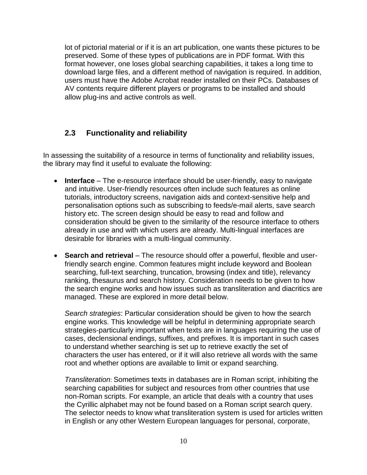lot of pictorial material or if it is an art publication, one wants these pictures to be preserved. Some of these types of publications are in PDF format. With this format however, one loses global searching capabilities, it takes a long time to download large files, and a different method of navigation is required. In addition, users must have the Adobe Acrobat reader installed on their PCs. Databases of AV contents require different players or programs to be installed and should allow plug-ins and active controls as well.

#### <span id="page-9-0"></span>**2.3 Functionality and reliability**

In assessing the suitability of a resource in terms of functionality and reliability issues, the library may find it useful to evaluate the following:

- **Interface**  The e-resource interface should be user-friendly, easy to navigate and intuitive. User-friendly resources often include such features as online tutorials, introductory screens, navigation aids and context-sensitive help and personalisation options such as subscribing to feeds/e-mail alerts, save search history etc. The screen design should be easy to read and follow and consideration should be given to the similarity of the resource interface to others already in use and with which users are already. Multi-lingual interfaces are desirable for libraries with a multi-lingual community.
- **Search and retrieval** The resource should offer a powerful, flexible and userfriendly search engine. Common features might include keyword and Boolean searching, full-text searching, truncation, browsing (index and title), relevancy ranking, thesaurus and search history. Consideration needs to be given to how the search engine works and how issues such as transliteration and diacritics are managed. These are explored in more detail below.

*Search strategies*: Particular consideration should be given to how the search engine works. This knowledge will be helpful in determining appropriate search strateg**i**es-particularly important when texts are in languages requiring the use of cases, declensional endings, suffixes, and prefixes. It is important in such cases to understand whether searching is set up to retrieve exactly the set of characters the user has entered, or if it will also retrieve all words with the same root and whether options are available to limit or expand searching.

*Transliteration*: Sometimes texts in databases are in Roman script, inhibiting the searching capabilities for subject and resources from other countries that use non-Roman scripts. For example, an article that deals with a country that uses the Cyrillic alphabet may not be found based on a Roman script search query. The selector needs to know what transliteration system is used for articles written in English or any other Western European languages for personal, corporate,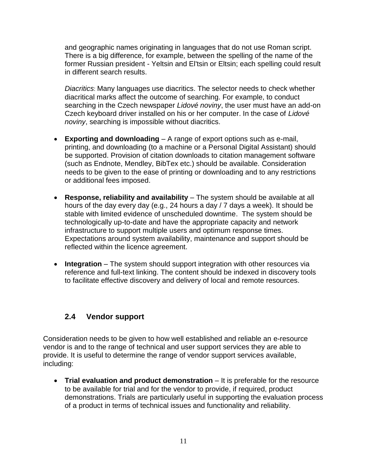and geographic names originating in languages that do not use Roman script. There is a big difference, for example, between the spelling of the name of the former Russian president - Yeltsin and El'tsin or Eltsin; each spelling could result in different search results.

*Diacritics*: Many languages use diacritics. The selector needs to check whether diacritical marks affect the outcome of searching. For example, to conduct searching in the Czech newspaper *Lidové noviny*, the user must have an add-on Czech keyboard driver installed on his or her computer. In the case of *Lidové noviny*, searching is impossible without diacritics.

- **Exporting and downloading** A range of export options such as e-mail, printing, and downloading (to a machine or a Personal Digital Assistant) should be supported. Provision of citation downloads to citation management software (such as Endnote, Mendley, BibTex etc.) should be available. Consideration needs to be given to the ease of printing or downloading and to any restrictions or additional fees imposed.
- **Response, reliability and availability** The system should be available at all hours of the day every day (e.g., 24 hours a day / 7 days a week). It should be stable with limited evidence of unscheduled downtime. The system should be technologically up-to-date and have the appropriate capacity and network infrastructure to support multiple users and optimum response times. Expectations around system availability, maintenance and support should be reflected within the licence agreement.
- **Integration** The system should support integration with other resources via reference and full-text linking. The content should be indexed in discovery tools to facilitate effective discovery and delivery of local and remote resources.

#### <span id="page-10-0"></span>**2.4 Vendor support**

Consideration needs to be given to how well established and reliable an e-resource vendor is and to the range of technical and user support services they are able to provide. It is useful to determine the range of vendor support services available, including:

 **Trial evaluation and product demonstration** – It is preferable for the resource to be available for trial and for the vendor to provide, if required, product demonstrations. Trials are particularly useful in supporting the evaluation process of a product in terms of technical issues and functionality and reliability.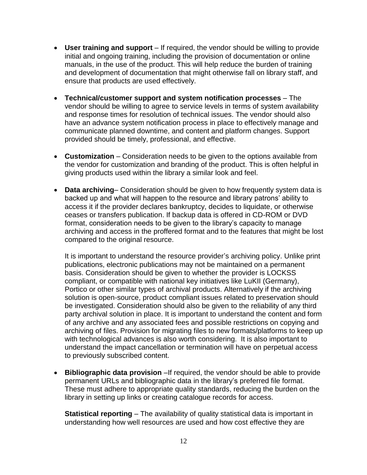- **User training and support**  If required, the vendor should be willing to provide initial and ongoing training, including the provision of documentation or online manuals, in the use of the product. This will help reduce the burden of training and development of documentation that might otherwise fall on library staff, and ensure that products are used effectively.
- **Technical/customer support and system notification processes** The vendor should be willing to agree to service levels in terms of system availability and response times for resolution of technical issues. The vendor should also have an advance system notification process in place to effectively manage and communicate planned downtime, and content and platform changes. Support provided should be timely, professional, and effective.
- **Customization** Consideration needs to be given to the options available from the vendor for customization and branding of the product. This is often helpful in giving products used within the library a similar look and feel.
- **Data archiving** Consideration should be given to how frequently system data is backed up and what will happen to the resource and library patrons" ability to access it if the provider declares bankruptcy, decides to liquidate, or otherwise ceases or transfers publication. If backup data is offered in CD-ROM or DVD format, consideration needs to be given to the library"s capacity to manage archiving and access in the proffered format and to the features that might be lost compared to the original resource.

It is important to understand the resource provider's archiving policy. Unlike print publications, electronic publications may not be maintained on a permanent basis. Consideration should be given to whether the provider is LOCKSS compliant, or compatible with national key initiatives like LuKII (Germany), Portico or other similar types of archival products. Alternatively if the archiving solution is open-source, product compliant issues related to preservation should be investigated. Consideration should also be given to the reliability of any third party archival solution in place. It is important to understand the content and form of any archive and any associated fees and possible restrictions on copying and archiving of files. Provision for migrating files to new formats/platforms to keep up with technological advances is also worth considering. It is also important to understand the impact cancellation or termination will have on perpetual access to previously subscribed content.

**Bibliographic data provision** –If required, the vendor should be able to provide permanent URLs and bibliographic data in the library"s preferred file format. These must adhere to appropriate quality standards, reducing the burden on the library in setting up links or creating catalogue records for access.

**Statistical reporting** – The availability of quality statistical data is important in understanding how well resources are used and how cost effective they are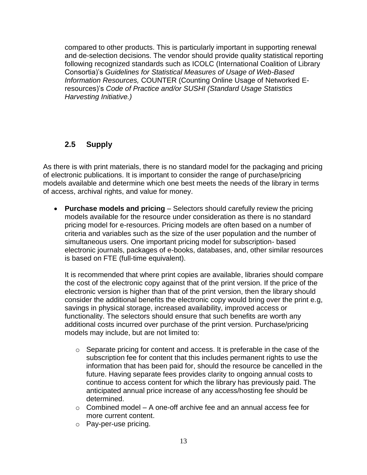compared to other products. This is particularly important in supporting renewal and de-selection decisions. The vendor should provide quality statistical reporting following recognized standards such as ICOLC (International Coalition of Library Consortia)"s *Guidelines for Statistical Measures of Usage of Web-Based Information Resources,* COUNTER (Counting Online Usage of Networked Eresources)"s *Code of Practice and/or SUSHI (Standard Usage Statistics Harvesting Initiative.)*

## <span id="page-12-0"></span>**2.5 Supply**

As there is with print materials, there is no standard model for the packaging and pricing of electronic publications. It is important to consider the range of purchase/pricing models available and determine which one best meets the needs of the library in terms of access, archival rights, and value for money.

 **Purchase models and pricing** – Selectors should carefully review the pricing models available for the resource under consideration as there is no standard pricing model for e-resources. Pricing models are often based on a number of criteria and variables such as the size of the user population and the number of simultaneous users. One important pricing model for subscription- based electronic journals, packages of e-books, databases, and, other similar resources is based on FTE (full-time equivalent).

It is recommended that where print copies are available, libraries should compare the cost of the electronic copy against that of the print version. If the price of the electronic version is higher than that of the print version, then the library should consider the additional benefits the electronic copy would bring over the print e.g, savings in physical storage, increased availability, improved access or functionality. The selectors should ensure that such benefits are worth any additional costs incurred over purchase of the print version. Purchase/pricing models may include, but are not limited to:

- o Separate pricing for content and access. It is preferable in the case of the subscription fee for content that this includes permanent rights to use the information that has been paid for, should the resource be cancelled in the future. Having separate fees provides clarity to ongoing annual costs to continue to access content for which the library has previously paid. The anticipated annual price increase of any access/hosting fee should be determined.
- $\circ$  Combined model A one-off archive fee and an annual access fee for more current content.
- o Pay-per-use pricing.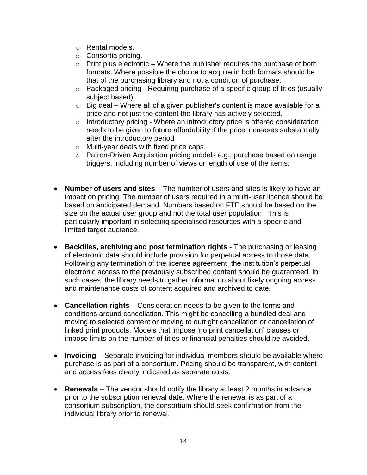- o Rental models.
- o Consortia pricing.
- $\circ$  Print plus electronic Where the publisher requires the purchase of both formats. Where possible the choice to acquire in both formats should be that of the purchasing library and not a condition of purchase.
- o Packaged pricing Requiring purchase of a specific group of titles (usually subject based).
- $\circ$  Big deal Where all of a given publisher's content is made available for a price and not just the content the library has actively selected.
- o Introductory pricing Where an introductory price is offered consideration needs to be given to future affordability if the price increases substantially after the introductory period
- o Multi-year deals with fixed price caps.
- o Patron-Driven Acquisition pricing models e.g., purchase based on usage triggers, including number of views or length of use of the items.
- **Number of users and sites** The number of users and sites is likely to have an impact on pricing. The number of users required in a multi-user licence should be based on anticipated demand. Numbers based on FTE should be based on the size on the actual user group and not the total user population. This is particularly important in selecting specialised resources with a specific and limited target audience.
- **Backfiles, archiving and post termination rights -** The purchasing or leasing of electronic data should include provision for perpetual access to those data. Following any termination of the license agreement, the institution"s perpetual electronic access to the previously subscribed content should be guaranteed. In such cases, the library needs to gather information about likely ongoing access and maintenance costs of content acquired and archived to date.
- **Cancellation rights** Consideration needs to be given to the terms and conditions around cancellation. This might be cancelling a bundled deal and moving to selected content or moving to outright cancellation or cancellation of linked print products. Models that impose "no print cancellation" clauses or impose limits on the number of titles or financial penalties should be avoided.
- **Invoicing** Separate invoicing for individual members should be available where purchase is as part of a consortium. Pricing should be transparent, with content and access fees clearly indicated as separate costs.
- **Renewals** The vendor should notify the library at least 2 months in advance prior to the subscription renewal date. Where the renewal is as part of a consortium subscription, the consortium should seek confirmation from the individual library prior to renewal.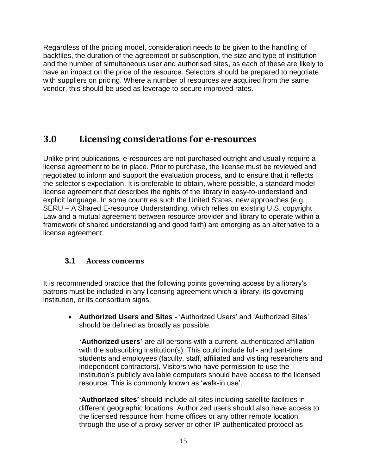Regardless of the pricing model, consideration needs to be given to the handling of backfiles, the duration of the agreement or subscription, the size and type of institution and the number of simultaneous user and authorised sites, as each of these are likely to have an impact on the price of the resource. Selectors should be prepared to negotiate with suppliers on pricing. Where a number of resources are acquired from the same vendor, this should be used as leverage to secure improved rates.

## <span id="page-14-0"></span>**3.0 Licensing considerations for e-resources**

Unlike print publications, e-resources are not purchased outright and usually require a license agreement to be in place. Prior to purchase, the license must be reviewed and negotiated to inform and support the evaluation process, and to ensure that it reflects the selector's expectation. It is preferable to obtain, where possible, a standard model license agreement that describes the rights of the library in easy-to-understand and explicit language. In some countries such the United States, new approaches (e.g., SERU – A Shared E-resource Understanding, which relies on existing U.S. copyright Law and a mutual agreement between resource provider and library to operate within a framework of shared understanding and good faith) are emerging as an alternative to a license agreement.

## <span id="page-14-1"></span>**3.1 Access concerns**

It is recommended practice that the following points governing access by a library"s patrons must be included in any licensing agreement which a library, its governing institution, or its consortium signs.

 **Authorized Users and Sites -** "Authorized Users" and "Authorized Sites" should be defined as broadly as possible.

'**Authorized users'** are all persons with a current, authenticated affiliation with the subscribing institution(s). This could include full- and part-time students and employees (faculty, staff, affiliated and visiting researchers and independent contractors). Visitors who have permission to use the institution"s publicly available computers should have access to the licensed resource. This is commonly known as 'walk-in use'.

**"Authorized sites"** should include all sites including satellite facilities in different geographic locations. Authorized users should also have access to the licensed resource from home offices or any other remote location, through the use of a proxy server or other IP-authenticated protocol as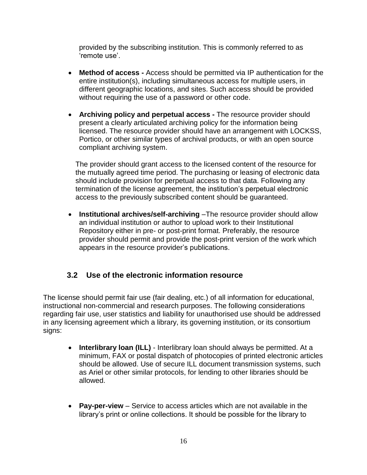provided by the subscribing institution. This is commonly referred to as "remote use".

- **Method of access -** Access should be permitted via IP authentication for the entire institution(s), including simultaneous access for multiple users, in different geographic locations, and sites. Such access should be provided without requiring the use of a password or other code.
- **Archiving policy and perpetual access -** The resource provider should present a clearly articulated archiving policy for the information being licensed. The resource provider should have an arrangement with LOCKSS, Portico, or other similar types of archival products, or with an open source compliant archiving system.

The provider should grant access to the licensed content of the resource for the mutually agreed time period. The purchasing or leasing of electronic data should include provision for perpetual access to that data. Following any termination of the license agreement, the institution"s perpetual electronic access to the previously subscribed content should be guaranteed.

**Institutional archives/self-archiving** -The resource provider should allow an individual institution or author to upload work to their Institutional Repository either in pre- or post-print format. Preferably, the resource provider should permit and provide the post-print version of the work which appears in the resource provider"s publications.

#### <span id="page-15-0"></span>**3.2 Use of the electronic information resource**

The license should permit fair use (fair dealing, etc.) of all information for educational, instructional non-commercial and research purposes. The following considerations regarding fair use, user statistics and liability for unauthorised use should be addressed in any licensing agreement which a library, its governing institution, or its consortium signs:

- **Interlibrary loan (ILL)** Interlibrary loan should always be permitted. At a minimum, FAX or postal dispatch of photocopies of printed electronic articles should be allowed. Use of secure ILL document transmission systems, such as Ariel or other similar protocols, for lending to other libraries should be allowed.
- **Pay-per-view**  Service to access articles which are not available in the library"s print or online collections. It should be possible for the library to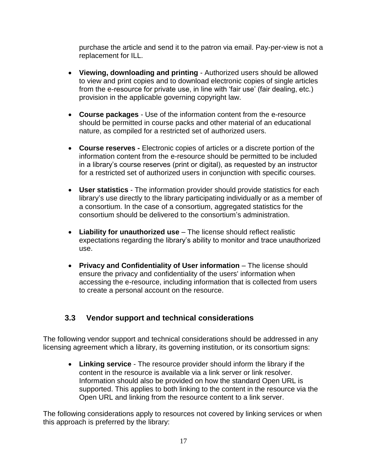purchase the article and send it to the patron via email. Pay-per-view is not a replacement for ILL.

- **Viewing, downloading and printing** Authorized users should be allowed to view and print copies and to download electronic copies of single articles from the e-resource for private use, in line with 'fair use' (fair dealing, etc.) provision in the applicable governing copyright law.
- **Course packages** Use of the information content from the e-resource should be permitted in course packs and other material of an educational nature, as compiled for a restricted set of authorized users.
- **Course reserves -** Electronic copies of articles or a discrete portion of the information content from the e-resource should be permitted to be included in a library"s course reserves (print or digital), as requested by an instructor for a restricted set of authorized users in conjunction with specific courses.
- **User statistics** The information provider should provide statistics for each library's use directly to the library participating individually or as a member of a consortium. In the case of a consortium, aggregated statistics for the consortium should be delivered to the consortium"s administration.
- **Liability for unauthorized use** The license should reflect realistic expectations regarding the library"s ability to monitor and trace unauthorized use.
- **Privacy and Confidentiality of User information** The license should ensure the privacy and confidentiality of the users' information when accessing the e-resource, including information that is collected from users to create a personal account on the resource.

## <span id="page-16-0"></span>**3.3 Vendor support and technical considerations**

The following vendor support and technical considerations should be addressed in any licensing agreement which a library, its governing institution, or its consortium signs:

 **Linking service** - The resource provider should inform the library if the content in the resource is available via a link server or link resolver. Information should also be provided on how the standard Open URL is supported. This applies to both linking to the content in the resource via the Open URL and linking from the resource content to a link server.

The following considerations apply to resources not covered by linking services or when this approach is preferred by the library: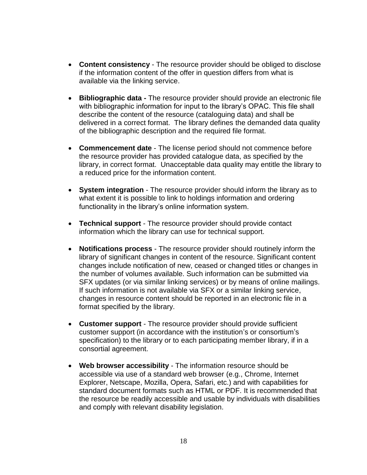- **Content consistency** The resource provider should be obliged to disclose if the information content of the offer in question differs from what is available via the linking service.
- **Bibliographic data -** The resource provider should provide an electronic file with bibliographic information for input to the library's OPAC. This file shall describe the content of the resource (cataloguing data) and shall be delivered in a correct format. The library defines the demanded data quality of the bibliographic description and the required file format.
- **Commencement date** The license period should not commence before the resource provider has provided catalogue data, as specified by the library, in correct format. Unacceptable data quality may entitle the library to a reduced price for the information content.
- **System integration** The resource provider should inform the library as to what extent it is possible to link to holdings information and ordering functionality in the library's online information system.
- **Technical support** The resource provider should provide contact information which the library can use for technical support.
- **Notifications process**  The resource provider should routinely inform the library of significant changes in content of the resource. Significant content changes include notification of new, ceased or changed titles or changes in the number of volumes available. Such information can be submitted via SFX updates (or via similar linking services) or by means of online mailings. If such information is not available via SFX or a similar linking service, changes in resource content should be reported in an electronic file in a format specified by the library.
- **Customer support** The resource provider should provide sufficient customer support (in accordance with the institution's or consortium's specification) to the library or to each participating member library, if in a consortial agreement.
- **Web browser accessibility** The information resource should be accessible via use of a standard web browser (e.g., Chrome, Internet Explorer, Netscape, Mozilla, Opera, Safari, etc.) and with capabilities for standard document formats such as HTML or PDF. It is recommended that the resource be readily accessible and usable by individuals with disabilities and comply with relevant disability legislation.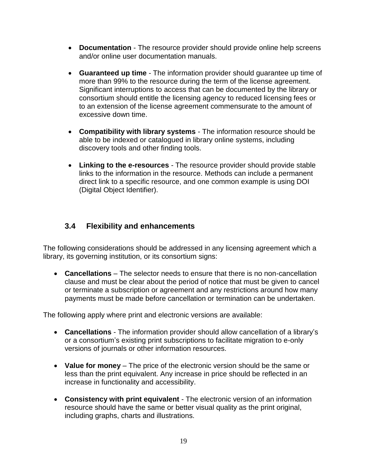- **Documentation** The resource provider should provide online help screens and/or online user documentation manuals.
- **Guaranteed up time** The information provider should guarantee up time of more than 99% to the resource during the term of the license agreement. Significant interruptions to access that can be documented by the library or consortium should entitle the licensing agency to reduced licensing fees or to an extension of the license agreement commensurate to the amount of excessive down time.
- **Compatibility with library systems** The information resource should be able to be indexed or catalogued in library online systems, including discovery tools and other finding tools.
- **Linking to the e-resources**  The resource provider should provide stable links to the information in the resource. Methods can include a permanent direct link to a specific resource, and one common example is using DOI (Digital Object Identifier).

### <span id="page-18-0"></span>**3.4 Flexibility and enhancements**

The following considerations should be addressed in any licensing agreement which a library, its governing institution, or its consortium signs:

 **Cancellations** – The selector needs to ensure that there is no non-cancellation clause and must be clear about the period of notice that must be given to cancel or terminate a subscription or agreement and any restrictions around how many payments must be made before cancellation or termination can be undertaken.

The following apply where print and electronic versions are available:

- **Cancellations** The information provider should allow cancellation of a library"s or a consortium"s existing print subscriptions to facilitate migration to e-only versions of journals or other information resources.
- **Value for money** The price of the electronic version should be the same or less than the print equivalent. Any increase in price should be reflected in an increase in functionality and accessibility.
- **Consistency with print equivalent** The electronic version of an information resource should have the same or better visual quality as the print original, including graphs, charts and illustrations.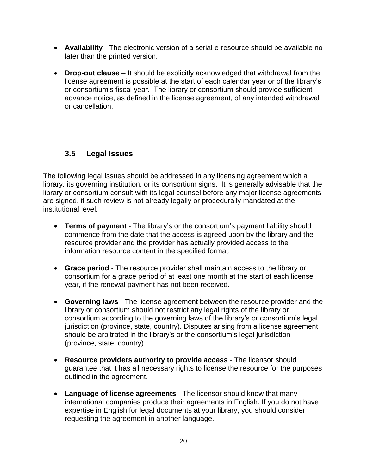- **Availability** The electronic version of a serial e-resource should be available no later than the printed version.
- **Drop-out clause** It should be explicitly acknowledged that withdrawal from the license agreement is possible at the start of each calendar year or of the library"s or consortium"s fiscal year. The library or consortium should provide sufficient advance notice, as defined in the license agreement, of any intended withdrawal or cancellation.

## <span id="page-19-0"></span>**3.5 Legal Issues**

The following legal issues should be addressed in any licensing agreement which a library, its governing institution, or its consortium signs. It is generally advisable that the library or consortium consult with its legal counsel before any major license agreements are signed, if such review is not already legally or procedurally mandated at the institutional level.

- **Terms of payment** The library"s or the consortium"s payment liability should commence from the date that the access is agreed upon by the library and the resource provider and the provider has actually provided access to the information resource content in the specified format.
- **Grace period** The resource provider shall maintain access to the library or consortium for a grace period of at least one month at the start of each license year, if the renewal payment has not been received.
- **Governing laws**  The license agreement between the resource provider and the library or consortium should not restrict any legal rights of the library or consortium according to the governing laws of the library"s or consortium"s legal jurisdiction (province, state, country). Disputes arising from a license agreement should be arbitrated in the library's or the consortium's legal jurisdiction (province, state, country).
- **Resource providers authority to provide access**  The licensor should guarantee that it has all necessary rights to license the resource for the purposes outlined in the agreement.
- **Language of license agreements** The licensor should know that many international companies produce their agreements in English. If you do not have expertise in English for legal documents at your library, you should consider requesting the agreement in another language.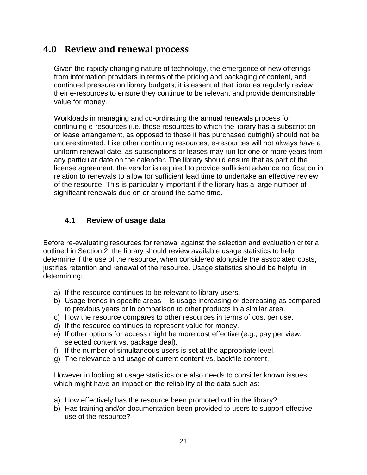# <span id="page-20-0"></span>**4.0 Review and renewal process**

Given the rapidly changing nature of technology, the emergence of new offerings from information providers in terms of the pricing and packaging of content, and continued pressure on library budgets, it is essential that libraries regularly review their e-resources to ensure they continue to be relevant and provide demonstrable value for money.

Workloads in managing and co-ordinating the annual renewals process for continuing e-resources (i.e. those resources to which the library has a subscription or lease arrangement, as opposed to those it has purchased outright) should not be underestimated. Like other continuing resources, e-resources will not always have a uniform renewal date, as subscriptions or leases may run for one or more years from any particular date on the calendar. The library should ensure that as part of the license agreement, the vendor is required to provide sufficient advance notification in relation to renewals to allow for sufficient lead time to undertake an effective review of the resource. This is particularly important if the library has a large number of significant renewals due on or around the same time.

### <span id="page-20-1"></span>**4.1 Review of usage data**

Before re-evaluating resources for renewal against the selection and evaluation criteria outlined in Section 2, the library should review available usage statistics to help determine if the use of the resource, when considered alongside the associated costs, justifies retention and renewal of the resource. Usage statistics should be helpful in determining:

- a) If the resource continues to be relevant to library users.
- b) Usage trends in specific areas Is usage increasing or decreasing as compared to previous years or in comparison to other products in a similar area.
- c) How the resource compares to other resources in terms of cost per use.
- d) If the resource continues to represent value for money.
- e) If other options for access might be more cost effective (e.g., pay per view, selected content vs. package deal).
- f) If the number of simultaneous users is set at the appropriate level.
- g) The relevance and usage of current content vs. backfile content.

However in looking at usage statistics one also needs to consider known issues which might have an impact on the reliability of the data such as:

- a) How effectively has the resource been promoted within the library?
- b) Has training and/or documentation been provided to users to support effective use of the resource?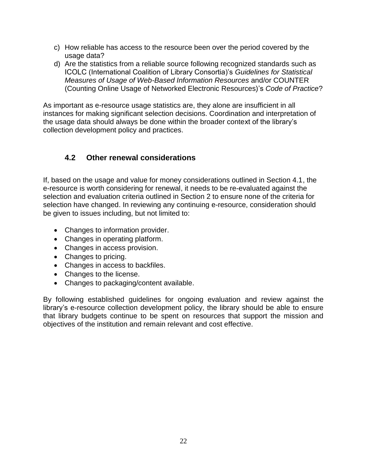- c) How reliable has access to the resource been over the period covered by the usage data?
- d) Are the statistics from a reliable source following recognized standards such as ICOLC (International Coalition of Library Consortia)"s *Guidelines for Statistical Measures of Usage of Web-Based Information Resources* and/or COUNTER (Counting Online Usage of Networked Electronic Resources)"s *Code of Practice*?

As important as e-resource usage statistics are, they alone are insufficient in all instances for making significant selection decisions. Coordination and interpretation of the usage data should always be done within the broader context of the library"s collection development policy and practices.

## <span id="page-21-0"></span>**4.2 Other renewal considerations**

If, based on the usage and value for money considerations outlined in Section 4.1, the e-resource is worth considering for renewal, it needs to be re-evaluated against the selection and evaluation criteria outlined in Section 2 to ensure none of the criteria for selection have changed. In reviewing any continuing e-resource, consideration should be given to issues including, but not limited to:

- Changes to information provider.
- Changes in operating platform.
- Changes in access provision.
- Changes to pricing.
- Changes in access to backfiles.
- Changes to the license.
- Changes to packaging/content available.

<span id="page-21-1"></span>By following established guidelines for ongoing evaluation and review against the library's e-resource collection development policy, the library should be able to ensure that library budgets continue to be spent on resources that support the mission and objectives of the institution and remain relevant and cost effective.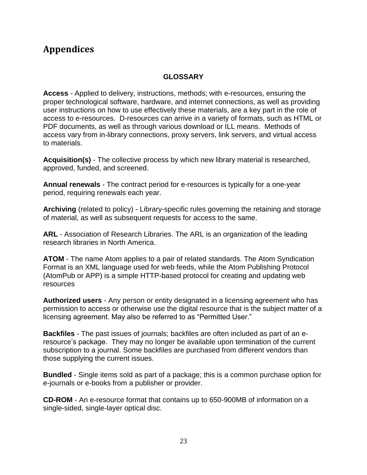# <span id="page-22-0"></span>**Appendices**

#### **GLOSSARY**

**Access** - Applied to delivery, instructions, methods; with e-resources, ensuring the proper technological software, hardware, and internet connections, as well as providing user instructions on how to use effectively these materials, are a key part in the role of access to e-resources. D-resources can arrive in a variety of formats, such as HTML or PDF documents, as well as through various download or ILL means. Methods of access vary from in-library connections, proxy servers, link servers, and virtual access to materials.

**Acquisition(s)** - The collective process by which new library material is researched, approved, funded, and screened.

**Annual renewals** - The contract period for e-resources is typically for a one-year period, requiring renewals each year.

**Archiving** (related to policy) - Library-specific rules governing the retaining and storage of material, as well as subsequent requests for access to the same.

**ARL** - Association of Research Libraries. The ARL is an organization of the leading research libraries in North America.

**ATOM** - The name Atom applies to a pair of related standards. The Atom Syndication Format is an XML language used for web feeds, while the Atom Publishing Protocol (AtomPub or APP) is a simple HTTP-based protocol for creating and updating web resources

**Authorized users** - Any person or entity designated in a licensing agreement who has permission to access or otherwise use the digital resource that is the subject matter of a licensing agreement. May also be referred to as "Permitted User."

**Backfiles** - The past issues of journals; backfiles are often included as part of an eresource"s package. They may no longer be available upon termination of the current subscription to a journal. Some backfiles are purchased from different vendors than those supplying the current issues.

**Bundled** - Single items sold as part of a package; this is a common purchase option for e-journals or e-books from a publisher or provider.

**CD-ROM** - An e-resource format that contains up to 650-900MB of information on a single-sided, single-layer optical disc.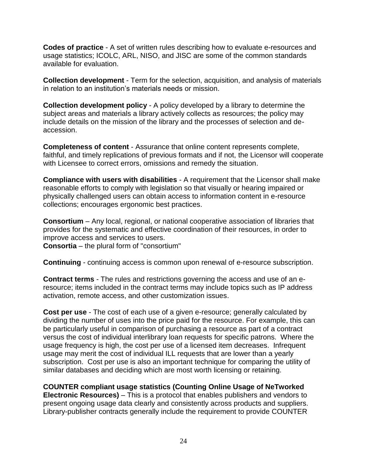**Codes of practice** - A set of written rules describing how to evaluate e-resources and usage statistics; ICOLC, ARL, NISO, and JISC are some of the common standards available for evaluation.

**Collection development** - Term for the selection, acquisition, and analysis of materials in relation to an institution"s materials needs or mission.

**Collection development policy** - A policy developed by a library to determine the subject areas and materials a library actively collects as resources; the policy may include details on the mission of the library and the processes of selection and deaccession.

**Completeness of content** - Assurance that online content represents complete, faithful, and timely replications of previous formats and if not, the Licensor will cooperate with Licensee to correct errors, omissions and remedy the situation.

**Compliance with users with disabilities** - A requirement that the Licensor shall make reasonable efforts to comply with legislation so that visually or hearing impaired or physically challenged users can obtain access to information content in e-resource collections; encourages ergonomic best practices.

**Consortium** – Any local, regional, or national cooperative association of libraries that provides for the systematic and effective coordination of their resources, in order to improve access and services to users.

**Consortia** – the plural form of "consortium"

**Continuing** - continuing access is common upon renewal of e-resource subscription.

**Contract terms** - The rules and restrictions governing the access and use of an eresource; items included in the contract terms may include topics such as IP address activation, remote access, and other customization issues.

**Cost per use** - The cost of each use of a given e-resource; generally calculated by dividing the number of uses into the price paid for the resource. For example, this can be particularly useful in comparison of purchasing a resource as part of a contract versus the cost of individual interlibrary loan requests for specific patrons. Where the usage frequency is high, the cost per use of a licensed item decreases. Infrequent usage may merit the cost of individual ILL requests that are lower than a yearly subscription. Cost per use is also an important technique for comparing the utility of similar databases and deciding which are most worth licensing or retaining.

**COUNTER compliant usage statistics (Counting Online Usage of NeTworked Electronic Resources)** – This is a protocol that enables publishers and vendors to present ongoing usage data clearly and consistently across products and suppliers. Library-publisher contracts generally include the requirement to provide COUNTER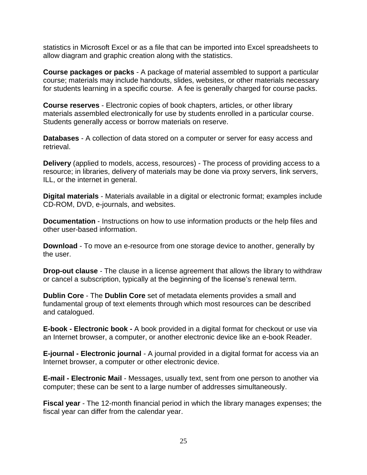statistics in Microsoft Excel or as a file that can be imported into Excel spreadsheets to allow diagram and graphic creation along with the statistics.

**Course packages or packs** - A package of material assembled to support a particular course; materials may include handouts, slides, websites, or other materials necessary for students learning in a specific course. A fee is generally charged for course packs.

**Course reserves** - Electronic copies of book chapters, articles, or other library materials assembled electronically for use by students enrolled in a particular course. Students generally access or borrow materials on reserve.

**Databases** - A collection of data stored on a computer or server for easy access and retrieval.

**Delivery** (applied to models, access, resources) - The process of providing access to a resource; in libraries, delivery of materials may be done via proxy servers, link servers, ILL, or the internet in general.

**Digital materials** - Materials available in a digital or electronic format; examples include CD-ROM, DVD, e-journals, and websites.

**Documentation** - Instructions on how to use information products or the help files and other user-based information.

**Download** - To move an e-resource from one storage device to another, generally by the user.

**Drop-out clause** - The clause in a license agreement that allows the library to withdraw or cancel a subscription, typically at the beginning of the license"s renewal term.

**Dublin Core** - The **Dublin Core** set of metadata elements provides a small and fundamental group of text elements through which most resources can be described and catalogued.

**E-book - Electronic book -** A book provided in a digital format for checkout or use via an Internet browser, a computer, or another electronic device like an e-book Reader.

**E-journal - Electronic journal** - A journal provided in a digital format for access via an Internet browser, a computer or other electronic device.

**E-mail - Electronic Mail** - Messages, usually text, sent from one person to another via computer; these can be sent to a large number of addresses simultaneously.

**Fiscal year** - The 12-month financial period in which the library manages expenses; the fiscal year can differ from the calendar year.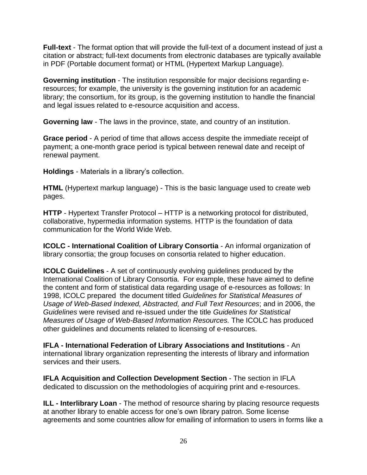**Full-text** - The format option that will provide the full-text of a document instead of just a citation or abstract; full-text documents from electronic databases are typically available in PDF (Portable document format) or HTML (Hypertext Markup Language).

**Governing institution** - The institution responsible for major decisions regarding eresources; for example, the university is the governing institution for an academic library; the consortium, for its group, is the governing institution to handle the financial and legal issues related to e-resource acquisition and access.

**Governing law** - The laws in the province, state, and country of an institution.

**Grace period** - A period of time that allows access despite the immediate receipt of payment; a one-month grace period is typical between renewal date and receipt of renewal payment.

**Holdings** - Materials in a library"s collection.

**HTML** (Hypertext markup language) - This is the basic language used to create web pages.

**HTTP** - Hypertext Transfer Protocol – HTTP is a networking protocol for distributed, collaborative, hypermedia information systems. HTTP is the foundation of data communication for the World Wide Web.

**ICOLC - International Coalition of Library Consortia** - An informal organization of library consortia; the group focuses on consortia related to higher education.

**ICOLC Guidelines** - A set of continuously evolving guidelines produced by the International Coalition of Library Consortia. For example, these have aimed to define the content and form of statistical data regarding usage of e-resources as follows: In 1998, ICOLC prepared the document titled *Guidelines for Statistical Measures of Usage of Web-Based Indexed, Abstracted, and Full Text Resources*; and in 2006, the *Guidelines* were revised and re-issued under the title *Guidelines for Statistical Measures of Usage of Web-Based Information Resources.* The ICOLC has produced other guidelines and documents related to licensing of e-resources.

**IFLA - International Federation of Library Associations and Institutions** - An international library organization representing the interests of library and information services and their users.

**IFLA Acquisition and Collection Development Section** - The section in IFLA dedicated to discussion on the methodologies of acquiring print and e-resources.

**ILL - Interlibrary Loan** - The method of resource sharing by placing resource requests at another library to enable access for one"s own library patron. Some license agreements and some countries allow for emailing of information to users in forms like a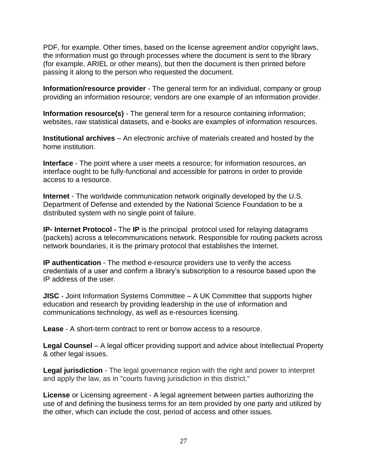PDF, for example. Other times, based on the license agreement and/or copyright laws, the information must go through processes where the document is sent to the library (for example, ARIEL or other means), but then the document is then printed before passing it along to the person who requested the document.

**Information/resource provider** - The general term for an individual, company or group providing an information resource; vendors are one example of an information provider.

**Information resource(s)** - The general term for a resource containing information; websites, raw statistical datasets, and e-books are examples of information resources.

**Institutional archives** – An electronic archive of materials created and hosted by the home institution.

**Interface** - The point where a user meets a resource; for information resources, an interface ought to be fully-functional and accessible for patrons in order to provide access to a resource.

**Internet** - The worldwide communication network originally developed by the U.S. Department of Defense and extended by the National Science Foundation to be a distributed system with no single point of failure.

**IP- Internet Protocol -** The **IP** is the principal protocol used for relaying datagrams (packets) across a telecommunications network. Responsible for routing packets across network boundaries, it is the primary protocol that establishes the Internet.

**IP authentication** - The method e-resource providers use to verify the access credentials of a user and confirm a library"s subscription to a resource based upon the IP address of the user.

**JISC** - Joint Information Systems Committee – A UK Committee that supports higher education and research by providing leadership in the use of information and communications technology, as well as e-resources licensing.

**Lease** - A short-term contract to rent or borrow access to a resource.

**Legal Counsel** – A legal officer providing support and advice about Intellectual Property & other legal issues.

**Legal jurisdiction** - The legal governance region with the right and power to interpret and apply the law, as in "courts having jurisdiction in this district."

**License** or Licensing agreement - A legal agreement between parties authorizing the use of and defining the business terms for an item provided by one party and utilized by the other, which can include the cost, period of access and other issues.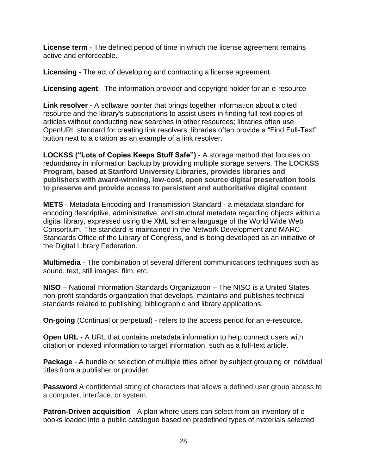**License term** - The defined period of time in which the license agreement remains active and enforceable.

**Licensing** - The act of developing and contracting a license agreement.

**Licensing agent** - The information provider and copyright holder for an e-resource

**Link resolver** - A software pointer that brings together information about a cited resource and the library's subscriptions to assist users in finding full-text copies of articles without conducting new searches in other resources; libraries often use OpenURL standard for creating link resolvers; libraries often provide a "Find Full-Text" button next to a citation as an example of a link resolver.

**LOCKSS ("Lots of Copies Keeps Stuff Safe")** - A storage method that focuses on redundancy in information backup by providing multiple storage servers. **The LOCKSS Program, based at Stanford University Libraries, provides libraries and publishers with award-winning, low-cost, open source digital preservation tools to preserve and provide access to persistent and authoritative digital content**.

**METS** - Metadata Encoding and Transmission Standard - a metadata standard for encoding descriptive, administrative, and structural metadata regarding objects within a digital library, expressed using the XML schema language of the World Wide Web Consortium. The standard is maintained in the Network Development and MARC Standards Office of the Library of Congress, and is being developed as an initiative of the Digital Library Federation.

**Multimedia** - The combination of several different communications techniques such as sound, text, still images, film, etc.

**NISO** – National Information Standards Organization – The NISO is a United States non-profit standards organization that develops, maintains and publishes technical standards related to publishing, bibliographic and library applications.

**On-going** (Continual or perpetual) - refers to the access period for an e-resource.

**Open URL** - A URL that contains metadata information to help connect users with citation or indexed information to target information, such as a full-text article.

**Package** - A bundle or selection of multiple titles either by subject grouping or individual titles from a publisher or provider.

**Password** A confidential string of characters that allows a defined user group access to a computer, interface, or system.

**Patron-Driven acquisition** - A plan where users can select from an inventory of ebooks loaded into a public catalogue based on predefined types of materials selected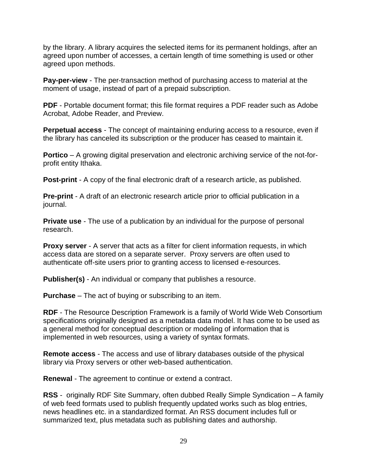by the library. A library acquires the selected items for its permanent holdings, after an agreed upon number of accesses, a certain length of time something is used or other agreed upon methods.

**Pay-per-view** - The per-transaction method of purchasing access to material at the moment of usage, instead of part of a prepaid subscription.

**PDF** - Portable document format; this file format requires a PDF reader such as Adobe Acrobat, Adobe Reader, and Preview.

**Perpetual access** - The concept of maintaining enduring access to a resource, even if the library has canceled its subscription or the producer has ceased to maintain it.

**Portico** – A growing digital preservation and electronic archiving service of the not-forprofit entity Ithaka.

**Post-print** - A copy of the final electronic draft of a research article, as published.

**Pre-print** - A draft of an electronic research article prior to official publication in a journal.

**Private use** - The use of a publication by an individual for the purpose of personal research.

**Proxy server** - A server that acts as a filter for client information requests, in which access data are stored on a separate server. Proxy servers are often used to authenticate off-site users prior to granting access to licensed e-resources.

**Publisher(s)** - An individual or company that publishes a resource.

**Purchase** – The act of buying or subscribing to an item.

**RDF** - The Resource Description Framework is a family of World Wide Web Consortium specifications originally designed as a metadata data model. It has come to be used as a general method for conceptual description or modeling of information that is implemented in web resources, using a variety of syntax formats.

**Remote access** - The access and use of library databases outside of the physical library via Proxy servers or other web-based authentication.

**Renewal** - The agreement to continue or extend a contract.

**RSS** - originally RDF Site Summary, often dubbed Really Simple Syndication – A family of web feed formats used to publish frequently updated works such as blog entries, news headlines etc. in a standardized format. An RSS document includes full or summarized text, plus metadata such as publishing dates and authorship.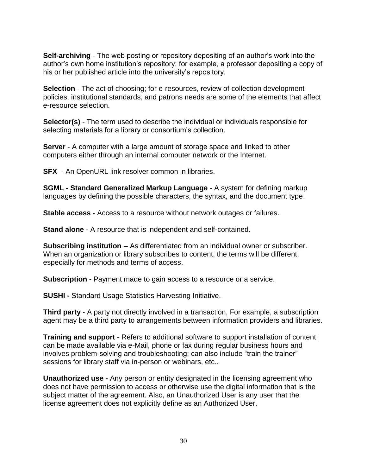**Self-archiving** - The web posting or repository depositing of an author's work into the author"s own home institution"s repository; for example, a professor depositing a copy of his or her published article into the university's repository.

**Selection** - The act of choosing; for e-resources, review of collection development policies, institutional standards, and patrons needs are some of the elements that affect e-resource selection.

**Selector(s)** - The term used to describe the individual or individuals responsible for selecting materials for a library or consortium's collection.

**Server** - A computer with a large amount of storage space and linked to other computers either through an internal computer network or the Internet.

**SFX** - An OpenURL link resolver common in libraries.

**SGML - Standard Generalized Markup Language** - A system for defining markup languages by defining the possible characters, the syntax, and the document type.

**Stable access** - Access to a resource without network outages or failures.

**Stand alone** - A resource that is independent and self-contained.

**Subscribing institution** – As differentiated from an individual owner or subscriber. When an organization or library subscribes to content, the terms will be different, especially for methods and terms of access.

**Subscription** - Payment made to gain access to a resource or a service.

**SUSHI -** Standard Usage Statistics Harvesting Initiative.

**Third party** - A party not directly involved in a transaction, For example, a subscription agent may be a third party to arrangements between information providers and libraries.

**Training and support** - Refers to additional software to support installation of content; can be made available via e-Mail, phone or fax during regular business hours and involves problem-solving and troubleshooting; can also include "train the trainer" sessions for library staff via in-person or webinars, etc..

**Unauthorized use -** Any person or entity designated in the licensing agreement who does not have permission to access or otherwise use the digital information that is the subject matter of the agreement. Also, an Unauthorized User is any user that the license agreement does not explicitly define as an Authorized User.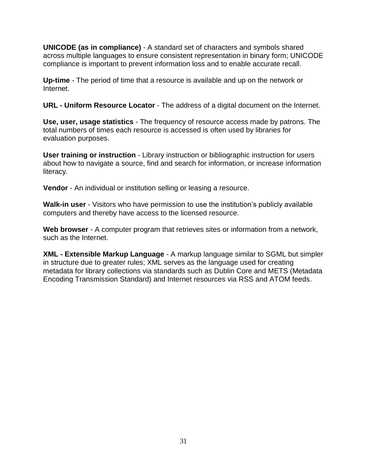**UNICODE (as in compliance)** - A standard set of characters and symbols shared across multiple languages to ensure consistent representation in binary form; UNICODE compliance is important to prevent information loss and to enable accurate recall.

**Up-time** - The period of time that a resource is available and up on the network or Internet.

**URL - Uniform Resource Locator** - The address of a digital document on the Internet.

**Use, user, usage statistics** - The frequency of resource access made by patrons. The total numbers of times each resource is accessed is often used by libraries for evaluation purposes.

**User training or instruction** - Library instruction or bibliographic instruction for users about how to navigate a source, find and search for information, or increase information literacy.

**Vendor** - An individual or institution selling or leasing a resource.

**Walk-in user** - Visitors who have permission to use the institution"s publicly available computers and thereby have access to the licensed resource.

**Web browser** - A computer program that retrieves sites or information from a network, such as the Internet.

**XML - Extensible Markup Language** - A markup language similar to SGML but simpler in structure due to greater rules; XML serves as the language used for creating metadata for library collections via standards such as Dublin Core and METS (Metadata Encoding Transmission Standard) and Internet resources via RSS and ATOM feeds.